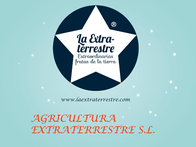

*www.laextraterrestre.com*

*AGRICULTURA EXTRATERRESTRE S.L.*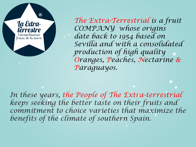

*The Extra-Terrestrial is a fruit COMPANY whose origins date back to 1954 based on Sevilla and with a consolidated production of high quality Oranges, Peaches, Nectarine & Paraguayos.*

*In these years, the People of The Extra-terrestrial keeps seeking the better taste on their fruits and commitment to choice varieties that maximize the benefits of the climate of southern Spain.*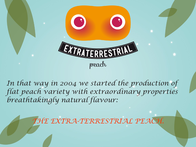

In that way in 2004 we started the production of *flat peach variety with extraordinary properties breathtakingly natural flavour:* 

*THE EXTRA-TERRESTRIAL PEACH.*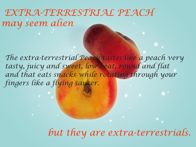*EXTRA-TERRESTRIAL PEACH may seem alien*

*The extra-terrestrial Peach tastes like a peach very tasty, juicy and sweet, low heat, round and flat and that eats snacks while rotating through your fingers like a flying saucer.*

*but they are extra-terrestrials.*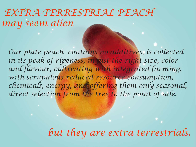*EXTRA-TERRESTRIAL PEACH may seem alien*

*Our plate peach contains no additives, is collected*  in its peak of ripeness, in just the right size, color *and flavour, cultivating with integrated farming, with scrupulous reduced resource consumption, chemicals, energy, and offering them only seasonal, direct selection from the tree to the point of sale.*

*but they are extra-terrestrials.*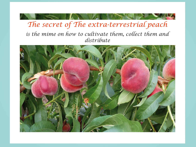## *The secret of The extra-terrestrial peach is the mime on how to cultivate them, collect them and distribute*

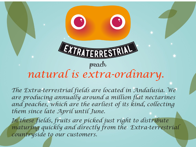

*The Extra-terrestrial fields are located in Andalusia. We are producing annually around a million flat nectarines*  and peaches, which are the earliest of its kind, collecting *them since late April until June.* 

In these fields, fruits are picked just right to distribute *maturing quickly and directly from the Extra-terrestrial countryside to our customers.*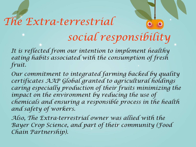## *The Extra-terrestrial social responsibility*

*It is reflected from our intention to implement healthy eating habits associated with the consumption of fresh fruit.* 

*Our commitment to integrated farming backed by quality certificates AAP Global granted to agricultural holdings caring especially production of their fruits minimizing the*  impact on the environment by reducing the use of *chemicals and ensuring a responsible process in the health and safety of workers.*

*Also, The Extra-terrestrial owner was allied with the Bayer Crop Science, and part of their community (Food Chain Partnership).*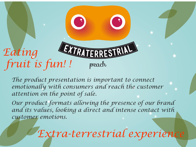

*The product presentation is important to connect emotionally with consumers and reach the customer attention on the point of sale.* 

*Our product formats allowing the presence of our brand and its values, looking a direct and intense contact with customer emotions.* 

*Extra-terrestrial experience*